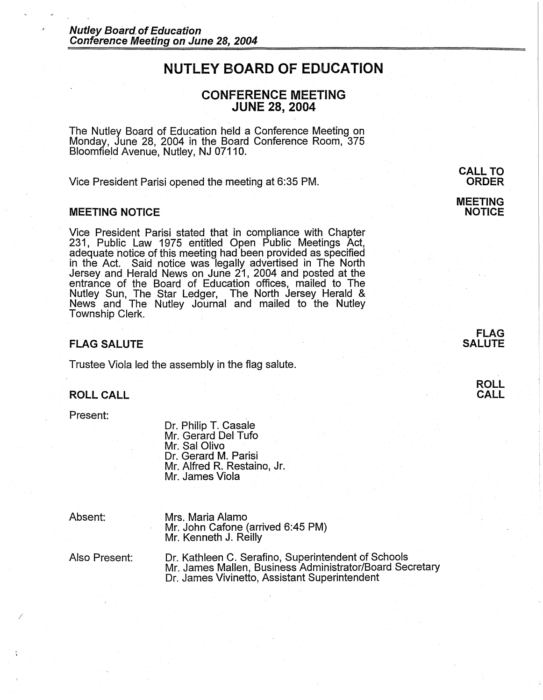# **NUTLEY BOARD OF EDUCATION**

# **CONFERENCE MEETING JUNE 28, 2004**

The Nutley Board of Education held a Conference Meeting on Monday, June 28, 2004 in the Board Conference Room, 375 Bloomfield Avenue, Nutley, NJ 07110.

Vice President Parisi opened the meeting at 6:35 PM.

### **MEETING NOTICE**

Vice President Parisi stated that in compliance with Chapter 231, Public Law 1975 entitled Open Public Meetings Act, adequate notice of this meeting had been provided as specified in the Act. Said notice was legally advertised in The North Jersey and Herald News on June 21, 2004 and posted at the entrance of the Board of Education offices, mailed to The Nutley Sun, The Star Ledger, The North Jersey Herald & News and The Nutley Journal and mailed to the Nutley Township Clerk.

#### **FLAG SALUTE**

Trustee Viola led the assembly in the flag salute.

# **ROLL CALL**

Present:

Dr. Philip T. Casale Mr. Gerard Del Tufo Mr. Sal Olivo Dr. Gerard M. Parisi Mr. Alfred R. Restaino, Jr. Mr. James Viola

Absent:

*I* 

Mrs. Maria Alamo Mr. John Cafone (arrived 6:45 PM) Mr. Kenneth J. Reilly

Also Present:

Dr. Kathleen C. Serafino, Superintendent of Schools Mr. James Mallen, Business Administrator/Board Secretary Dr. James Vivinetto, Assistant Superintendent

**CALL TO ORDER** 

**MEETING NOTICE** 

**ROLL CALL**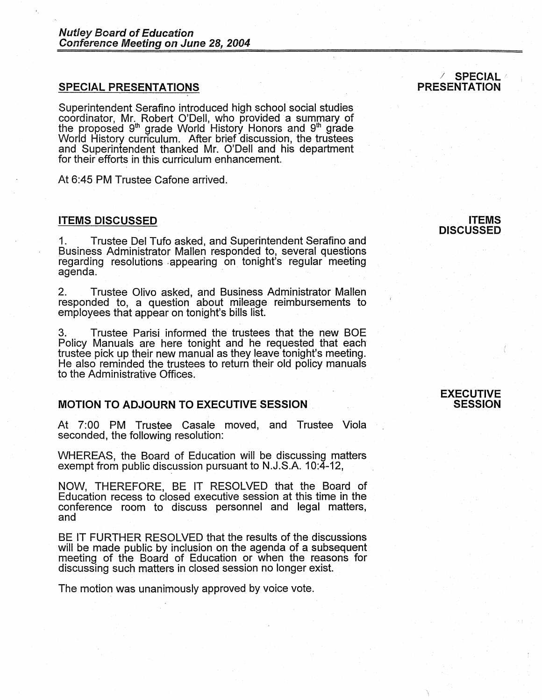# **SPECIAL PRESENTATIONS**

Superintendent Serafino introduced high school social studies coordinator, Mr. Robert O'Dell, who provided a summary of the proposed 9<sup>th</sup> grade World History Honors and 9<sup>th</sup> grade World History curriculum. After brief discussion, the trustees and Superintendent thanked Mr. O'Dell and his department for their efforts in this curriculum enhancement.

At 6:45 PM Trustee Cafone arrived.

## **ITEMS DISCUSSED**

1. Trustee Del Tufo asked, and Superintendent Serafino and Susiness Administrator Mallen responded to, several questions regarding resolutions appearing on tonight's regular meeting agenda.

2. Trustee Olivo asked, and Business Administrator Mallen responded to, a question about mileage reimbursements to employees that appear on tonight's bills list.

3. Trustee Parisi informed the trustees that the new BOE Policy Manuals are here tonight and he requested that each trustee pick up their new manual as they leave tonight's meeting. He also reminded the trustees to return their old policy manuals to the Administrative Offices.

# **MOTION TO ADJOURN TO EXECUTIVE SESSION**

At 7:00 PM Trustee Casale moved, and Trustee Viola seconded, the following resolution:

WHEREAS, the Board of Education will be discussing matters exempt from public discussion pursuant to N.J.S.A. 10:4-12,

NOW, THEREFORE, BE IT RESOLVED that the Board of Education recess to closed executive session at this time in the conference room to discuss personnel and legal matters, and

BE IT FURTHER RESOLVED that the results of the discussions will be made public by inclusion on the agenda of a subsequent meeting of the Board of Education or when the reasons for discussing such matters in closed session no longer exist.

The motion was unanimously approved by voice vote.

### / **SPECIAL/** <sup>I</sup> **PRESENTATION**

**ITEMS DISCUSSED** 

#### **EXECUTIVE SESSION**